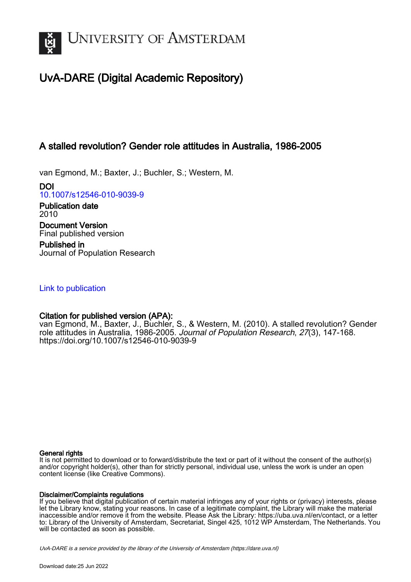

# UvA-DARE (Digital Academic Repository)

# A stalled revolution? Gender role attitudes in Australia, 1986-2005

van Egmond, M.; Baxter, J.; Buchler, S.; Western, M.

DOI [10.1007/s12546-010-9039-9](https://doi.org/10.1007/s12546-010-9039-9)

Publication date 2010 Document Version Final published version

Published in Journal of Population Research

# [Link to publication](https://dare.uva.nl/personal/pure/en/publications/a-stalled-revolution-gender-role-attitudes-in-australia-19862005(61854c4f-008a-463d-be3f-48c771835231).html)

# Citation for published version (APA):

van Egmond, M., Baxter, J., Buchler, S., & Western, M. (2010). A stalled revolution? Gender role attitudes in Australia, 1986-2005. Journal of Population Research, 27(3), 147-168. <https://doi.org/10.1007/s12546-010-9039-9>

# General rights

It is not permitted to download or to forward/distribute the text or part of it without the consent of the author(s) and/or copyright holder(s), other than for strictly personal, individual use, unless the work is under an open content license (like Creative Commons).

# Disclaimer/Complaints regulations

If you believe that digital publication of certain material infringes any of your rights or (privacy) interests, please let the Library know, stating your reasons. In case of a legitimate complaint, the Library will make the material inaccessible and/or remove it from the website. Please Ask the Library: https://uba.uva.nl/en/contact, or a letter to: Library of the University of Amsterdam, Secretariat, Singel 425, 1012 WP Amsterdam, The Netherlands. You will be contacted as soon as possible.

UvA-DARE is a service provided by the library of the University of Amsterdam (http*s*://dare.uva.nl)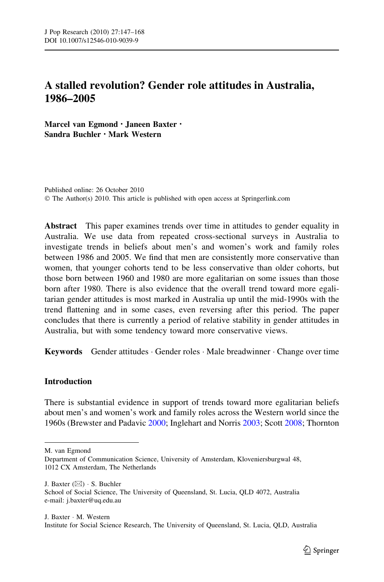# A stalled revolution? Gender role attitudes in Australia, 1986–2005

Marcel van Egmond • Janeen Baxter • Sandra Buchler • Mark Western

Published online: 26 October 2010 © The Author(s) 2010. This article is published with open access at Springerlink.com

Abstract This paper examines trends over time in attitudes to gender equality in Australia. We use data from repeated cross-sectional surveys in Australia to investigate trends in beliefs about men's and women's work and family roles between 1986 and 2005. We find that men are consistently more conservative than women, that younger cohorts tend to be less conservative than older cohorts, but those born between 1960 and 1980 are more egalitarian on some issues than those born after 1980. There is also evidence that the overall trend toward more egalitarian gender attitudes is most marked in Australia up until the mid-1990s with the trend flattening and in some cases, even reversing after this period. The paper concludes that there is currently a period of relative stability in gender attitudes in Australia, but with some tendency toward more conservative views.

Keywords Gender attitudes · Gender roles · Male breadwinner · Change over time

### **Introduction**

There is substantial evidence in support of trends toward more egalitarian beliefs about men's and women's work and family roles across the Western world since the 1960s (Brewster and Padavic [2000;](#page-20-0) Inglehart and Norris [2003;](#page-21-0) Scott [2008;](#page-21-0) Thornton

M. van Egmond

J. Baxter ( $\boxtimes$ ) · S. Buchler School of Social Science, The University of Queensland, St. Lucia, QLD 4072, Australia e-mail: j.baxter@uq.edu.au

J. Baxter - M. Western Institute for Social Science Research, The University of Queensland, St. Lucia, QLD, Australia

Department of Communication Science, University of Amsterdam, Kloveniersburgwal 48, 1012 CX Amsterdam, The Netherlands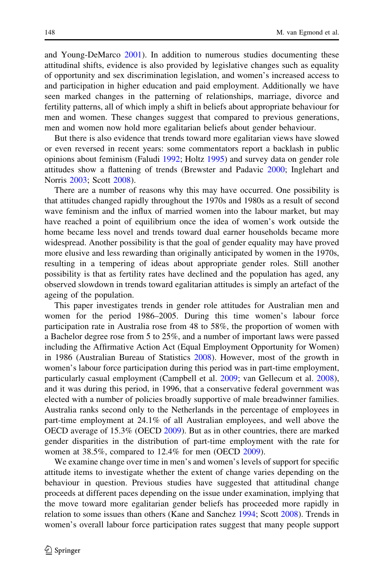and Young-DeMarco [2001](#page-21-0)). In addition to numerous studies documenting these attitudinal shifts, evidence is also provided by legislative changes such as equality of opportunity and sex discrimination legislation, and women's increased access to and participation in higher education and paid employment. Additionally we have seen marked changes in the patterning of relationships, marriage, divorce and fertility patterns, all of which imply a shift in beliefs about appropriate behaviour for men and women. These changes suggest that compared to previous generations, men and women now hold more egalitarian beliefs about gender behaviour.

But there is also evidence that trends toward more egalitarian views have slowed or even reversed in recent years: some commentators report a backlash in public opinions about feminism (Faludi [1992](#page-21-0); Holtz [1995\)](#page-21-0) and survey data on gender role attitudes show a flattening of trends (Brewster and Padavic [2000](#page-20-0); Inglehart and Norris [2003;](#page-21-0) Scott [2008\)](#page-21-0).

There are a number of reasons why this may have occurred. One possibility is that attitudes changed rapidly throughout the 1970s and 1980s as a result of second wave feminism and the influx of married women into the labour market, but may have reached a point of equilibrium once the idea of women's work outside the home became less novel and trends toward dual earner households became more widespread. Another possibility is that the goal of gender equality may have proved more elusive and less rewarding than originally anticipated by women in the 1970s, resulting in a tempering of ideas about appropriate gender roles. Still another possibility is that as fertility rates have declined and the population has aged, any observed slowdown in trends toward egalitarian attitudes is simply an artefact of the ageing of the population.

This paper investigates trends in gender role attitudes for Australian men and women for the period 1986–2005. During this time women's labour force participation rate in Australia rose from 48 to 58%, the proportion of women with a Bachelor degree rose from 5 to 25%, and a number of important laws were passed including the Affirmative Action Act (Equal Employment Opportunity for Women) in 1986 (Australian Bureau of Statistics [2008](#page-20-0)). However, most of the growth in women's labour force participation during this period was in part-time employment, particularly casual employment (Campbell et al. [2009](#page-20-0); van Gellecum et al. [2008\)](#page-21-0), and it was during this period, in 1996, that a conservative federal government was elected with a number of policies broadly supportive of male breadwinner families. Australia ranks second only to the Netherlands in the percentage of employees in part-time employment at 24.1% of all Australian employees, and well above the OECD average of 15.3% (OECD [2009\)](#page-21-0). But as in other countries, there are marked gender disparities in the distribution of part-time employment with the rate for women at  $38.5\%$ , compared to  $12.4\%$  for men (OECD  $2009$ ).

We examine change over time in men's and women's levels of support for specific attitude items to investigate whether the extent of change varies depending on the behaviour in question. Previous studies have suggested that attitudinal change proceeds at different paces depending on the issue under examination, implying that the move toward more egalitarian gender beliefs has proceeded more rapidly in relation to some issues than others (Kane and Sanchez [1994;](#page-21-0) Scott [2008\)](#page-21-0). Trends in women's overall labour force participation rates suggest that many people support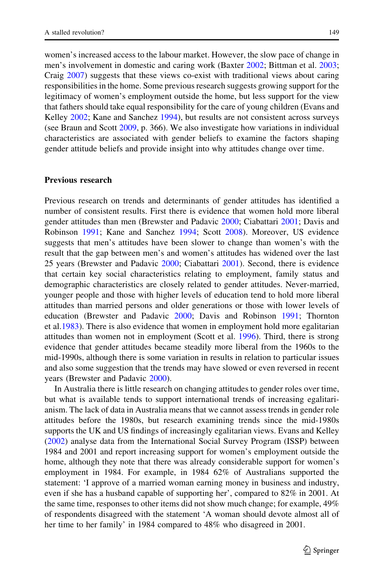women's increased access to the labour market. However, the slow pace of change in men's involvement in domestic and caring work (Baxter [2002](#page-20-0); Bittman et al. [2003;](#page-20-0) Craig [2007\)](#page-21-0) suggests that these views co-exist with traditional views about caring responsibilities in the home. Some previous research suggests growing support for the legitimacy of women's employment outside the home, but less support for the view that fathers should take equal responsibility for the care of young children (Evans and Kelley [2002;](#page-21-0) Kane and Sanchez [1994](#page-21-0)), but results are not consistent across surveys (see Braun and Scott [2009,](#page-20-0) p. 366). We also investigate how variations in individual characteristics are associated with gender beliefs to examine the factors shaping gender attitude beliefs and provide insight into why attitudes change over time.

#### Previous research

Previous research on trends and determinants of gender attitudes has identified a number of consistent results. First there is evidence that women hold more liberal gender attitudes than men (Brewster and Padavic [2000](#page-20-0); Ciabattari [2001;](#page-21-0) Davis and Robinson [1991](#page-21-0); Kane and Sanchez [1994;](#page-21-0) Scott [2008\)](#page-21-0). Moreover, US evidence suggests that men's attitudes have been slower to change than women's with the result that the gap between men's and women's attitudes has widened over the last 25 years (Brewster and Padavic [2000;](#page-20-0) Ciabattari [2001](#page-21-0)). Second, there is evidence that certain key social characteristics relating to employment, family status and demographic characteristics are closely related to gender attitudes. Never-married, younger people and those with higher levels of education tend to hold more liberal attitudes than married persons and older generations or those with lower levels of education (Brewster and Padavic [2000;](#page-20-0) Davis and Robinson [1991](#page-21-0); Thornton et al.[1983](#page-21-0)). There is also evidence that women in employment hold more egalitarian attitudes than women not in employment (Scott et al. [1996\)](#page-21-0). Third, there is strong evidence that gender attitudes became steadily more liberal from the 1960s to the mid-1990s, although there is some variation in results in relation to particular issues and also some suggestion that the trends may have slowed or even reversed in recent years (Brewster and Padavic [2000\)](#page-20-0).

In Australia there is little research on changing attitudes to gender roles over time, but what is available tends to support international trends of increasing egalitarianism. The lack of data in Australia means that we cannot assess trends in gender role attitudes before the 1980s, but research examining trends since the mid-1980s supports the UK and US findings of increasingly egalitarian views. Evans and Kelley [\(2002](#page-21-0)) analyse data from the International Social Survey Program (ISSP) between 1984 and 2001 and report increasing support for women's employment outside the home, although they note that there was already considerable support for women's employment in 1984. For example, in 1984 62% of Australians supported the statement: 'I approve of a married woman earning money in business and industry, even if she has a husband capable of supporting her', compared to 82% in 2001. At the same time, responses to other items did not show much change; for example, 49% of respondents disagreed with the statement 'A woman should devote almost all of her time to her family' in 1984 compared to 48% who disagreed in 2001.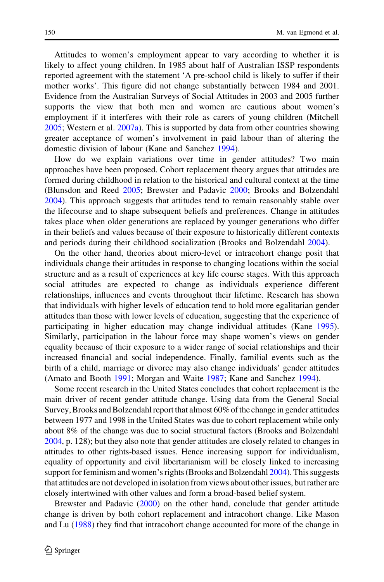Attitudes to women's employment appear to vary according to whether it is likely to affect young children. In 1985 about half of Australian ISSP respondents reported agreement with the statement 'A pre-school child is likely to suffer if their mother works'. This figure did not change substantially between 1984 and 2001. Evidence from the Australian Surveys of Social Attitudes in 2003 and 2005 further supports the view that both men and women are cautious about women's employment if it interferes with their role as carers of young children (Mitchell [2005;](#page-21-0) Western et al. [2007a\)](#page-22-0). This is supported by data from other countries showing greater acceptance of women's involvement in paid labour than of altering the domestic division of labour (Kane and Sanchez [1994\)](#page-21-0).

How do we explain variations over time in gender attitudes? Two main approaches have been proposed. Cohort replacement theory argues that attitudes are formed during childhood in relation to the historical and cultural context at the time (Blunsdon and Reed [2005;](#page-20-0) Brewster and Padavic [2000](#page-20-0); Brooks and Bolzendahl [2004\)](#page-20-0). This approach suggests that attitudes tend to remain reasonably stable over the lifecourse and to shape subsequent beliefs and preferences. Change in attitudes takes place when older generations are replaced by younger generations who differ in their beliefs and values because of their exposure to historically different contexts and periods during their childhood socialization (Brooks and Bolzendahl [2004](#page-20-0)).

On the other hand, theories about micro-level or intracohort change posit that individuals change their attitudes in response to changing locations within the social structure and as a result of experiences at key life course stages. With this approach social attitudes are expected to change as individuals experience different relationships, influences and events throughout their lifetime. Research has shown that individuals with higher levels of education tend to hold more egalitarian gender attitudes than those with lower levels of education, suggesting that the experience of participating in higher education may change individual attitudes (Kane [1995\)](#page-21-0). Similarly, participation in the labour force may shape women's views on gender equality because of their exposure to a wider range of social relationships and their increased financial and social independence. Finally, familial events such as the birth of a child, marriage or divorce may also change individuals' gender attitudes (Amato and Booth [1991](#page-20-0); Morgan and Waite [1987;](#page-21-0) Kane and Sanchez [1994\)](#page-21-0).

Some recent research in the United States concludes that cohort replacement is the main driver of recent gender attitude change. Using data from the General Social Survey, Brooks and Bolzendahl report that almost 60% of the change in gender attitudes between 1977 and 1998 in the United States was due to cohort replacement while only about 8% of the change was due to social structural factors (Brooks and Bolzendahl [2004,](#page-20-0) p. 128); but they also note that gender attitudes are closely related to changes in attitudes to other rights-based issues. Hence increasing support for individualism, equality of opportunity and civil libertarianism will be closely linked to increasing support for feminism and women's rights (Brooks and Bolzendahl [2004](#page-20-0)). This suggests that attitudes are not developed in isolation from views about other issues, but rather are closely intertwined with other values and form a broad-based belief system.

Brewster and Padavic ([2000\)](#page-20-0) on the other hand, conclude that gender attitude change is driven by both cohort replacement and intracohort change. Like Mason and Lu ([1988\)](#page-21-0) they find that intracohort change accounted for more of the change in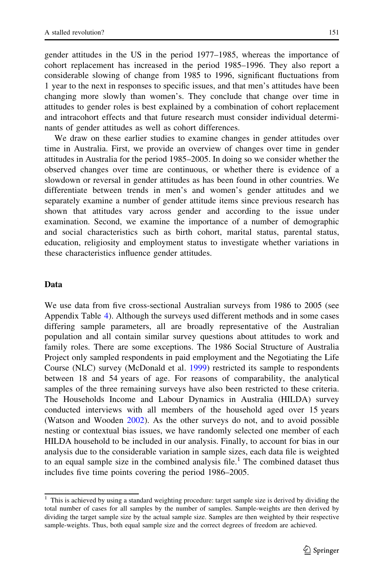gender attitudes in the US in the period 1977–1985, whereas the importance of cohort replacement has increased in the period 1985–1996. They also report a considerable slowing of change from 1985 to 1996, significant fluctuations from 1 year to the next in responses to specific issues, and that men's attitudes have been changing more slowly than women's. They conclude that change over time in attitudes to gender roles is best explained by a combination of cohort replacement and intracohort effects and that future research must consider individual determinants of gender attitudes as well as cohort differences.

We draw on these earlier studies to examine changes in gender attitudes over time in Australia. First, we provide an overview of changes over time in gender attitudes in Australia for the period 1985–2005. In doing so we consider whether the observed changes over time are continuous, or whether there is evidence of a slowdown or reversal in gender attitudes as has been found in other countries. We differentiate between trends in men's and women's gender attitudes and we separately examine a number of gender attitude items since previous research has shown that attitudes vary across gender and according to the issue under examination. Second, we examine the importance of a number of demographic and social characteristics such as birth cohort, marital status, parental status, education, religiosity and employment status to investigate whether variations in these characteristics influence gender attitudes.

## Data

We use data from five cross-sectional Australian surveys from 1986 to 2005 (see Appendix Table [4](#page-19-0)). Although the surveys used different methods and in some cases differing sample parameters, all are broadly representative of the Australian population and all contain similar survey questions about attitudes to work and family roles. There are some exceptions. The 1986 Social Structure of Australia Project only sampled respondents in paid employment and the Negotiating the Life Course (NLC) survey (McDonald et al. [1999\)](#page-21-0) restricted its sample to respondents between 18 and 54 years of age. For reasons of comparability, the analytical samples of the three remaining surveys have also been restricted to these criteria. The Households Income and Labour Dynamics in Australia (HILDA) survey conducted interviews with all members of the household aged over 15 years (Watson and Wooden [2002](#page-21-0)). As the other surveys do not, and to avoid possible nesting or contextual bias issues, we have randomly selected one member of each HILDA household to be included in our analysis. Finally, to account for bias in our analysis due to the considerable variation in sample sizes, each data file is weighted to an equal sample size in the combined analysis file.<sup>1</sup> The combined dataset thus includes five time points covering the period 1986–2005.

 $1$  This is achieved by using a standard weighting procedure: target sample size is derived by dividing the total number of cases for all samples by the number of samples. Sample-weights are then derived by dividing the target sample size by the actual sample size. Samples are then weighted by their respective sample-weights. Thus, both equal sample size and the correct degrees of freedom are achieved.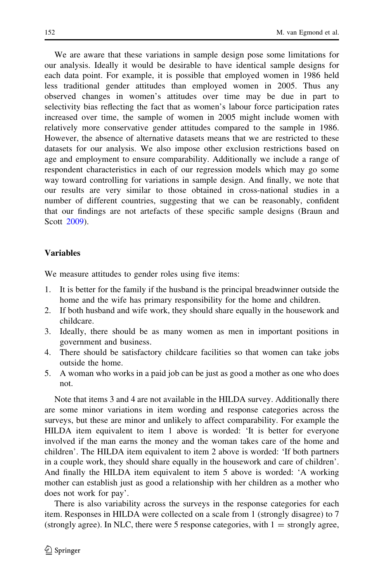We are aware that these variations in sample design pose some limitations for our analysis. Ideally it would be desirable to have identical sample designs for each data point. For example, it is possible that employed women in 1986 held less traditional gender attitudes than employed women in 2005. Thus any observed changes in women's attitudes over time may be due in part to selectivity bias reflecting the fact that as women's labour force participation rates increased over time, the sample of women in 2005 might include women with relatively more conservative gender attitudes compared to the sample in 1986. However, the absence of alternative datasets means that we are restricted to these datasets for our analysis. We also impose other exclusion restrictions based on age and employment to ensure comparability. Additionally we include a range of respondent characteristics in each of our regression models which may go some way toward controlling for variations in sample design. And finally, we note that our results are very similar to those obtained in cross-national studies in a number of different countries, suggesting that we can be reasonably, confident that our findings are not artefacts of these specific sample designs (Braun and Scott [2009\)](#page-20-0).

## Variables

We measure attitudes to gender roles using five items:

- 1. It is better for the family if the husband is the principal breadwinner outside the home and the wife has primary responsibility for the home and children.
- 2. If both husband and wife work, they should share equally in the housework and childcare.
- 3. Ideally, there should be as many women as men in important positions in government and business.
- 4. There should be satisfactory childcare facilities so that women can take jobs outside the home.
- 5. A woman who works in a paid job can be just as good a mother as one who does not.

Note that items 3 and 4 are not available in the HILDA survey. Additionally there are some minor variations in item wording and response categories across the surveys, but these are minor and unlikely to affect comparability. For example the HILDA item equivalent to item 1 above is worded: 'It is better for everyone involved if the man earns the money and the woman takes care of the home and children'. The HILDA item equivalent to item 2 above is worded: 'If both partners in a couple work, they should share equally in the housework and care of children'. And finally the HILDA item equivalent to item 5 above is worded: 'A working mother can establish just as good a relationship with her children as a mother who does not work for pay'.

There is also variability across the surveys in the response categories for each item. Responses in HILDA were collected on a scale from 1 (strongly disagree) to 7 (strongly agree). In NLC, there were 5 response categories, with  $1 =$  strongly agree,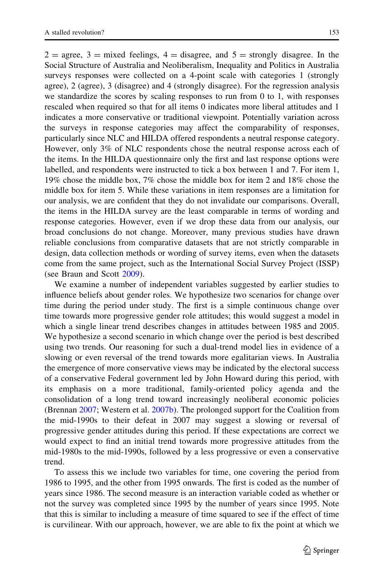$2 = \text{agree}$ ,  $3 = \text{mixed}$  feelings,  $4 = \text{disagree}$ , and  $5 = \text{strongly}$  disagree. In the Social Structure of Australia and Neoliberalism, Inequality and Politics in Australia surveys responses were collected on a 4-point scale with categories 1 (strongly agree), 2 (agree), 3 (disagree) and 4 (strongly disagree). For the regression analysis we standardize the scores by scaling responses to run from 0 to 1, with responses rescaled when required so that for all items 0 indicates more liberal attitudes and 1 indicates a more conservative or traditional viewpoint. Potentially variation across the surveys in response categories may affect the comparability of responses, particularly since NLC and HILDA offered respondents a neutral response category. However, only 3% of NLC respondents chose the neutral response across each of the items. In the HILDA questionnaire only the first and last response options were labelled, and respondents were instructed to tick a box between 1 and 7. For item 1, 19% chose the middle box, 7% chose the middle box for item 2 and 18% chose the middle box for item 5. While these variations in item responses are a limitation for our analysis, we are confident that they do not invalidate our comparisons. Overall, the items in the HILDA survey are the least comparable in terms of wording and response categories. However, even if we drop these data from our analysis, our broad conclusions do not change. Moreover, many previous studies have drawn reliable conclusions from comparative datasets that are not strictly comparable in design, data collection methods or wording of survey items, even when the datasets come from the same project, such as the International Social Survey Project (ISSP) (see Braun and Scott [2009\)](#page-20-0).

We examine a number of independent variables suggested by earlier studies to influence beliefs about gender roles. We hypothesize two scenarios for change over time during the period under study. The first is a simple continuous change over time towards more progressive gender role attitudes; this would suggest a model in which a single linear trend describes changes in attitudes between 1985 and 2005. We hypothesize a second scenario in which change over the period is best described using two trends. Our reasoning for such a dual-trend model lies in evidence of a slowing or even reversal of the trend towards more egalitarian views. In Australia the emergence of more conservative views may be indicated by the electoral success of a conservative Federal government led by John Howard during this period, with its emphasis on a more traditional, family-oriented policy agenda and the consolidation of a long trend toward increasingly neoliberal economic policies (Brennan [2007;](#page-20-0) Western et al. [2007b\)](#page-22-0). The prolonged support for the Coalition from the mid-1990s to their defeat in 2007 may suggest a slowing or reversal of progressive gender attitudes during this period. If these expectations are correct we would expect to find an initial trend towards more progressive attitudes from the mid-1980s to the mid-1990s, followed by a less progressive or even a conservative trend.

To assess this we include two variables for time, one covering the period from 1986 to 1995, and the other from 1995 onwards. The first is coded as the number of years since 1986. The second measure is an interaction variable coded as whether or not the survey was completed since 1995 by the number of years since 1995. Note that this is similar to including a measure of time squared to see if the effect of time is curvilinear. With our approach, however, we are able to fix the point at which we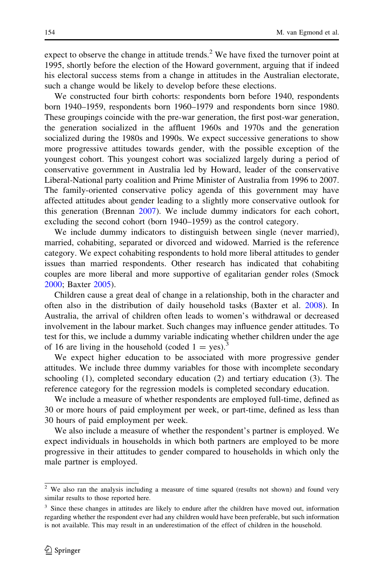expect to observe the change in attitude trends.<sup>2</sup> We have fixed the turnover point at 1995, shortly before the election of the Howard government, arguing that if indeed his electoral success stems from a change in attitudes in the Australian electorate, such a change would be likely to develop before these elections.

We constructed four birth cohorts: respondents born before 1940, respondents born 1940–1959, respondents born 1960–1979 and respondents born since 1980. These groupings coincide with the pre-war generation, the first post-war generation, the generation socialized in the affluent 1960s and 1970s and the generation socialized during the 1980s and 1990s. We expect successive generations to show more progressive attitudes towards gender, with the possible exception of the youngest cohort. This youngest cohort was socialized largely during a period of conservative government in Australia led by Howard, leader of the conservative Liberal-National party coalition and Prime Minister of Australia from 1996 to 2007. The family-oriented conservative policy agenda of this government may have affected attitudes about gender leading to a slightly more conservative outlook for this generation (Brennan [2007\)](#page-20-0). We include dummy indicators for each cohort, excluding the second cohort (born 1940–1959) as the control category.

We include dummy indicators to distinguish between single (never married), married, cohabiting, separated or divorced and widowed. Married is the reference category. We expect cohabiting respondents to hold more liberal attitudes to gender issues than married respondents. Other research has indicated that cohabiting couples are more liberal and more supportive of egalitarian gender roles (Smock [2000;](#page-21-0) Baxter [2005](#page-20-0)).

Children cause a great deal of change in a relationship, both in the character and often also in the distribution of daily household tasks (Baxter et al. [2008](#page-20-0)). In Australia, the arrival of children often leads to women's withdrawal or decreased involvement in the labour market. Such changes may influence gender attitudes. To test for this, we include a dummy variable indicating whether children under the age of 16 are living in the household (coded  $1 = yes$ ).<sup>3</sup>

We expect higher education to be associated with more progressive gender attitudes. We include three dummy variables for those with incomplete secondary schooling (1), completed secondary education (2) and tertiary education (3). The reference category for the regression models is completed secondary education.

We include a measure of whether respondents are employed full-time, defined as 30 or more hours of paid employment per week, or part-time, defined as less than 30 hours of paid employment per week.

We also include a measure of whether the respondent's partner is employed. We expect individuals in households in which both partners are employed to be more progressive in their attitudes to gender compared to households in which only the male partner is employed.

<sup>&</sup>lt;sup>2</sup> We also ran the analysis including a measure of time squared (results not shown) and found very similar results to those reported here.

<sup>&</sup>lt;sup>3</sup> Since these changes in attitudes are likely to endure after the children have moved out, information regarding whether the respondent ever had any children would have been preferable, but such information is not available. This may result in an underestimation of the effect of children in the household.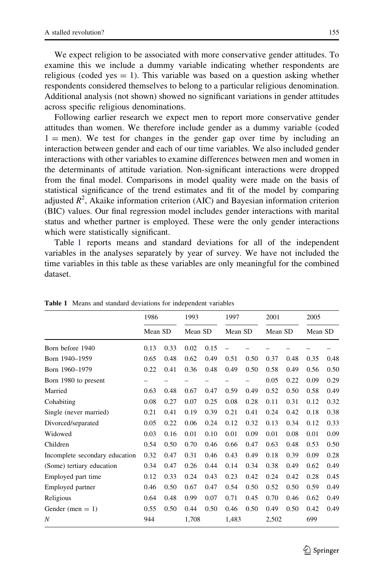We expect religion to be associated with more conservative gender attitudes. To examine this we include a dummy variable indicating whether respondents are religious (coded yes  $= 1$ ). This variable was based on a question asking whether respondents considered themselves to belong to a particular religious denomination. Additional analysis (not shown) showed no significant variations in gender attitudes across specific religious denominations.

Following earlier research we expect men to report more conservative gender attitudes than women. We therefore include gender as a dummy variable (coded  $1 =$  men). We test for changes in the gender gap over time by including an interaction between gender and each of our time variables. We also included gender interactions with other variables to examine differences between men and women in the determinants of attitude variation. Non-significant interactions were dropped from the final model. Comparisons in model quality were made on the basis of statistical significance of the trend estimates and fit of the model by comparing adjusted  $R^2$ , Akaike information criterion (AIC) and Bayesian information criterion (BIC) values. Our final regression model includes gender interactions with marital status and whether partner is employed. These were the only gender interactions which were statistically significant.

Table 1 reports means and standard deviations for all of the independent variables in the analyses separately by year of survey. We have not included the time variables in this table as these variables are only meaningful for the combined dataset.

|                                | 1986    |      | 1993    |      | 1997    |      | 2001    |      | 2005    |      |
|--------------------------------|---------|------|---------|------|---------|------|---------|------|---------|------|
|                                | Mean SD |      | Mean SD |      | Mean SD |      | Mean SD |      | Mean SD |      |
| Born before 1940               | 0.13    | 0.33 | 0.02    | 0.15 |         |      |         |      |         |      |
| Born 1940-1959                 | 0.65    | 0.48 | 0.62    | 0.49 | 0.51    | 0.50 | 0.37    | 0.48 | 0.35    | 0.48 |
| Born 1960-1979                 | 0.22    | 0.41 | 0.36    | 0.48 | 0.49    | 0.50 | 0.58    | 0.49 | 0.56    | 0.50 |
| Born 1980 to present           |         |      |         |      |         |      | 0.05    | 0.22 | 0.09    | 0.29 |
| Married                        | 0.63    | 0.48 | 0.67    | 0.47 | 0.59    | 0.49 | 0.52    | 0.50 | 0.58    | 0.49 |
| Cohabiting                     | 0.08    | 0.27 | 0.07    | 0.25 | 0.08    | 0.28 | 0.11    | 0.31 | 0.12    | 0.32 |
| Single (never married)         | 0.21    | 0.41 | 0.19    | 0.39 | 0.21    | 0.41 | 0.24    | 0.42 | 0.18    | 0.38 |
| Divorced/separated             | 0.05    | 0.22 | 0.06    | 0.24 | 0.12    | 0.32 | 0.13    | 0.34 | 0.12    | 0.33 |
| Widowed                        | 0.03    | 0.16 | 0.01    | 0.10 | 0.01    | 0.09 | 0.01    | 0.08 | 0.01    | 0.09 |
| Children                       | 0.54    | 0.50 | 0.70    | 0.46 | 0.66    | 0.47 | 0.63    | 0.48 | 0.53    | 0.50 |
| Incomplete secondary education | 0.32    | 0.47 | 0.31    | 0.46 | 0.43    | 0.49 | 0.18    | 0.39 | 0.09    | 0.28 |
| (Some) tertiary education      | 0.34    | 0.47 | 0.26    | 0.44 | 0.14    | 0.34 | 0.38    | 0.49 | 0.62    | 0.49 |
| Employed part time             | 0.12    | 0.33 | 0.24    | 0.43 | 0.23    | 0.42 | 0.24    | 0.42 | 0.28    | 0.45 |
| Employed partner               | 0.46    | 0.50 | 0.67    | 0.47 | 0.54    | 0.50 | 0.52    | 0.50 | 0.59    | 0.49 |
| Religious                      | 0.64    | 0.48 | 0.99    | 0.07 | 0.71    | 0.45 | 0.70    | 0.46 | 0.62    | 0.49 |
| Gender (men $= 1$ )            | 0.55    | 0.50 | 0.44    | 0.50 | 0.46    | 0.50 | 0.49    | 0.50 | 0.42    | 0.49 |
| N                              | 944     |      | 1,708   |      | 1,483   |      | 2,502   |      | 699     |      |

Table 1 Means and standard deviations for independent variables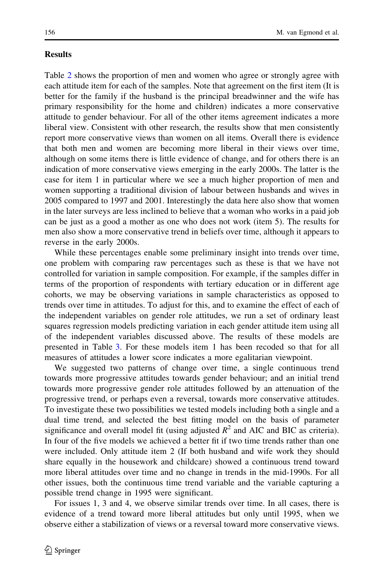#### Results

Table [2](#page-11-0) shows the proportion of men and women who agree or strongly agree with each attitude item for each of the samples. Note that agreement on the first item (It is better for the family if the husband is the principal breadwinner and the wife has primary responsibility for the home and children) indicates a more conservative attitude to gender behaviour. For all of the other items agreement indicates a more liberal view. Consistent with other research, the results show that men consistently report more conservative views than women on all items. Overall there is evidence that both men and women are becoming more liberal in their views over time, although on some items there is little evidence of change, and for others there is an indication of more conservative views emerging in the early 2000s. The latter is the case for item 1 in particular where we see a much higher proportion of men and women supporting a traditional division of labour between husbands and wives in 2005 compared to 1997 and 2001. Interestingly the data here also show that women in the later surveys are less inclined to believe that a woman who works in a paid job can be just as a good a mother as one who does not work (item 5). The results for men also show a more conservative trend in beliefs over time, although it appears to reverse in the early 2000s.

While these percentages enable some preliminary insight into trends over time, one problem with comparing raw percentages such as these is that we have not controlled for variation in sample composition. For example, if the samples differ in terms of the proportion of respondents with tertiary education or in different age cohorts, we may be observing variations in sample characteristics as opposed to trends over time in attitudes. To adjust for this, and to examine the effect of each of the independent variables on gender role attitudes, we run a set of ordinary least squares regression models predicting variation in each gender attitude item using all of the independent variables discussed above. The results of these models are presented in Table [3](#page-12-0). For these models item 1 has been recoded so that for all measures of attitudes a lower score indicates a more egalitarian viewpoint.

We suggested two patterns of change over time, a single continuous trend towards more progressive attitudes towards gender behaviour; and an initial trend towards more progressive gender role attitudes followed by an attenuation of the progressive trend, or perhaps even a reversal, towards more conservative attitudes. To investigate these two possibilities we tested models including both a single and a dual time trend, and selected the best fitting model on the basis of parameter significance and overall model fit (using adjusted  $R^2$  and AIC and BIC as criteria). In four of the five models we achieved a better fit if two time trends rather than one were included. Only attitude item 2 (If both husband and wife work they should share equally in the housework and childcare) showed a continuous trend toward more liberal attitudes over time and no change in trends in the mid-1990s. For all other issues, both the continuous time trend variable and the variable capturing a possible trend change in 1995 were significant.

For issues 1, 3 and 4, we observe similar trends over time. In all cases, there is evidence of a trend toward more liberal attitudes but only until 1995, when we observe either a stabilization of views or a reversal toward more conservative views.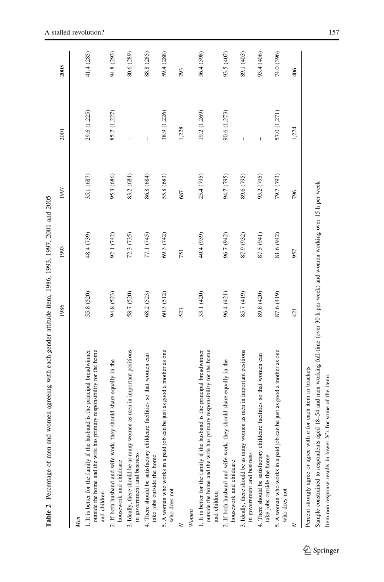<span id="page-11-0"></span>

| Table 2 Percentage of men and women agreeing with each gender attitude item, 1986, 1993, 1997, 2001 and 2005                                                           |            |            |            |              |            |
|------------------------------------------------------------------------------------------------------------------------------------------------------------------------|------------|------------|------------|--------------|------------|
|                                                                                                                                                                        | 1986       | 1993       | 1997       | 2001         | 2005       |
| Men                                                                                                                                                                    |            |            |            |              |            |
| 1. It is better for the family if the husband is the principal breadwinner<br>outside the home and the wife has primary responsibility for the home<br>and children    | 55.8 (520) | 48.4 (739) | 35.1 (687) | 29.6 (1,225) | 41.4 (285) |
| they should share equally in the<br>2. If both husband and wife work,<br>housework and childcare                                                                       | 94.8 (523) | 92.1 (742) | 95.3 (686) | 85.7 (1,227) | 94.8 (293) |
| women as men in important positions<br>3. Ideally, there should be as many<br>in government and business                                                               | 58.7 (520) | 72.3 (735) | 83.2 (684) | Ï            | 80.6 (289) |
| 4. There should be satisfactory childcare facilities so that women can<br>take jobs outside the home                                                                   | 68.2 (523) | 77.1 (745) | 86.8 (684) | Ï            | 88.8 (285) |
| 5. A woman who works in a paid job can be just as good a mother as one<br>who does not                                                                                 | 60.3 (512) | 69.3 (742) | 55.8 (683) | 38.9 (1,226) | 59.4 (288) |
|                                                                                                                                                                        | 523        | 751        | 687        | 1,228        | 293        |
| Women                                                                                                                                                                  |            |            |            |              |            |
| 1. It is better for the family if the husband is the principal breadwinner<br>primary responsibility for the home<br>outside the home and the wife has<br>and children | 33.1 (420) | 40.4 (939) | 25.4 (795) | 19.2 (1,269) | 36.4 (398) |
| 2. If both husband and wife work, they should share equally in the<br>housework and childcare                                                                          | 96.4 (421) | 96.7 (942) | 94.7 (795) | 90.6 (1,273) | 93.5 (402) |
| women as men in important positions<br>3. Ideally, there should be as many<br>in government and business                                                               | 85.7 (419) | 87.9 (932) | 89.6 (795) |              | 89.1 (403) |
| 4. There should be satisfactory childcare facilities so that women can<br>take jobs outside the home                                                                   | 89.8 (420) | 87.5 (941) | 93.2 (795) |              | 93.4 (406) |
| 5. A woman who works in a paid job can be just as good a mother as one<br>who does not                                                                                 | 87.6 (419) | 81.6 (942) | 79.7 (793) | 57.0 (1,271) | 74.0 (396) |
|                                                                                                                                                                        | 421        | 957        | 796        | 1,274        | 406        |
|                                                                                                                                                                        |            |            |            |              |            |

Percent strongly agree or agree with  $n$  for each item in brackets Percent strongly agree or agree with n for each item in brackets

Sample constrained to respondents aged 18-54 and men working full-time (over 30 h per week) and women working over 15 h per week Sample constrained to respondents aged 18–54 and men working full-time (over 30 h per week) and women working over 15 h per week

Item non-response results in lower  $N$ 's for some of the items Item non-response results in lower  $N$ 's for some of the items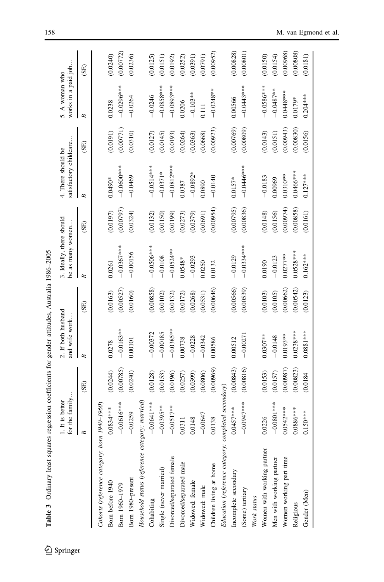<span id="page-12-0"></span>

| Table 3 Ordinary least squares regression coefficients for gender attitudes, Australia 1986-2005 |                                   |           |                                     |           |                                              |           |                                               |           |                                       |           |
|--------------------------------------------------------------------------------------------------|-----------------------------------|-----------|-------------------------------------|-----------|----------------------------------------------|-----------|-----------------------------------------------|-----------|---------------------------------------|-----------|
|                                                                                                  | for the family<br>1. It is better |           | 2. If both husband<br>and wife work |           | 3. Ideally, there should<br>be as many women |           | satisfactory childcare.<br>4. There should be |           | works in a paid job<br>5. A woman who |           |
|                                                                                                  | B                                 | (SE)      | B                                   | (SE)      | B                                            | (SE)      | B                                             | (SE)      | B                                     | (SE)      |
| Cohorts (reference category: born 1940-1960)                                                     |                                   |           |                                     |           |                                              |           |                                               |           |                                       |           |
| Bom before 1940                                                                                  | $0.0834***$                       | (0.0244)  | 0.0278                              | (0.0163)  | 0.0261                                       | (0.0197)  | 0.0490*                                       | (1610.0)  | 0.0238                                | (0.0240)  |
| Bom 1960-1979                                                                                    | $-0.0616***$                      | (0.00785) | $-0.0163**$                         | (0.00527) | $-0.0367***$                                 | (0.00797) | $-0.0600$ ***                                 | (0.00771) | $-0.0296***$                          | (0.00772) |
| Born 1980-present                                                                                | $-0.0259$                         | (0.0240)  | 0.00101                             | (0.0160)  | $-0.00156$                                   | (0.0324)  | $-0.0469$                                     | (0.0310)  | $-0.0264$                             | (0.0236)  |
| Household status (reference cate                                                                 | gory: married)                    |           |                                     |           |                                              |           |                                               |           |                                       |           |
| Cohabiting                                                                                       | $-0.0641***$                      | (0.0128)  | $-0.00372$                          | (0.00858) | $-0.0506***$                                 | (0.0132)  | $-0.0514***$                                  | (0.0127)  | $-0.0246$                             | (0.0125)  |
| Single (never married)                                                                           | $-0.0395**$                       | (0.0153)  | $-0.00185$                          | (0.0102)  | $-0.0108$                                    | (0.0150)  | $-0.0371*$                                    | (0.0145)  | $-0.0858***$                          | (0.0151)  |
| Divorced/separated female                                                                        | $-0.0517**$                       | (0.0196)  | $-0.0385**$                         | (0.0132)  | $-0.0524**$                                  | (0.0199)  | $-0.0812***$                                  | (0.0193)  | $-0.0893***$                          | (0.0192)  |
| Divorced/separated male                                                                          | 0.0311                            | (0.0257)  | 0.00738                             | (0.0172)  | $0.0548*$                                    | (0.0273)  | 0.0387                                        | (0.0264)  | 0.0206                                | (0.0252)  |
| Widowed: female                                                                                  | 0.0148                            | (0.0399)  | $-0.0228$                           | (0.0268)  | $-0.0293$                                    | (0.0379)  | $-0.0892*$                                    | (0.0363)  | $-0.103**$                            | (0.0391)  |
| Widowed: male                                                                                    | $-0.0647$                         | (0.0806)  | $-0.0342$                           | (0.0531)  | 0.0250                                       | (0.0691)  | 0.0890                                        | (0.0668)  | 0.111                                 | (0.0791)  |
| Children living at home                                                                          | 0.0138                            | (0.00969) | 0.00586                             | (0.00646) | 0.0132                                       | (0.00954) | $-0.0140$                                     | (0.00923) | $-0.0248**$                           | (0.00952) |
| Education (reference category: o                                                                 | completed secondary)              |           |                                     |           |                                              |           |                                               |           |                                       |           |
| Incomplete secondary                                                                             | $0.0457***$                       | (0.00843) | 0.00512                             | (0.00566) | $-0.0129$                                    | (0.00795) | $0.0157*$                                     | (0.00769) | 0.00566                               | (0.00828) |
| (Some) tertiary                                                                                  | $-0.0947$ ***                     | (0.00816) | $-0.00271$                          | (0.00539) | $-0.0334***$                                 | (0.00836) | $-0.0446***$                                  | (0.00809) | $-0.0443***$                          | (0.00801) |
| Work status                                                                                      |                                   |           |                                     |           |                                              |           |                                               |           |                                       |           |
| Women with working partner                                                                       | 0.0226                            | (0.0153)  | $0.0307***$                         | (0.0103)  | 0.0190                                       | (0.0148)  | $-0.0183$                                     | (0.0143)  | $-0.0586***$                          | (0.0150)  |
| Men with working partner                                                                         | $-0.0801***$                      | (0.0157)  | $-0.0148$                           | (0.0105)  | $-0.0123$                                    | (0.0156)  | 0.00969                                       | (0.0151)  | $-0.0487**$                           | (0.0154)  |
| Women working part time                                                                          | $0.0542***$                       | (0.00987) | $0.0193**$                          | (0.00662) | $0.0277**$                                   | (0.00974) | $0.0310**$                                    | (0.00943) | $0.0448***$                           | (0.00968) |
| Religious                                                                                        | $0.0886***$                       | (0.00823) | $0.0238***$                         | (0.00542) | $0.0528***$                                  | (0.00858) | $0.0466***$                                   | (0.00830) | $0.0179*$                             | (0.00808) |
| Gender (Men)                                                                                     | $0.150***$                        | (0.0184)  | $0.0881***$                         | (0.0123)  | $0.162***$                                   | (0.0161)  | $0.127***$                                    | (0.0156)  | $0.204***$                            | (0.0181)  |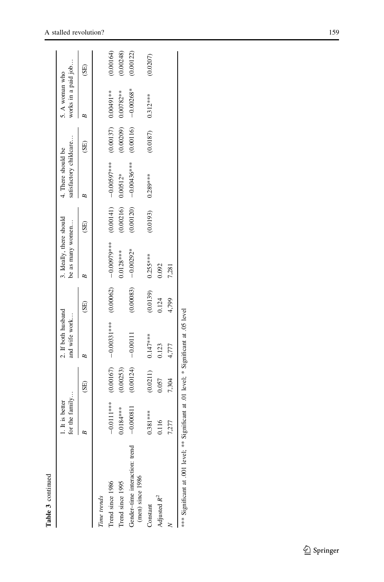| Table 3 continued                                                                      |                                   |                      |                                     |           |                                              |           |                                              |           |                                       |           |
|----------------------------------------------------------------------------------------|-----------------------------------|----------------------|-------------------------------------|-----------|----------------------------------------------|-----------|----------------------------------------------|-----------|---------------------------------------|-----------|
|                                                                                        | for the family<br>1. It is better |                      | 2. If both husband<br>and wife work |           | 3. Ideally, there should<br>be as many women |           | satisfactory childcare<br>4. There should be |           | works in a paid job<br>5. A woman who |           |
|                                                                                        |                                   | (SE)                 | B                                   | (SE)      |                                              | (SE)      |                                              | (SE)      |                                       | (SE)      |
| Time trends                                                                            |                                   |                      |                                     |           |                                              |           |                                              |           |                                       |           |
| Trend since 1986                                                                       | $-0.0111***$                      |                      | $(0.00167)$ -0.00331***             | (0.00062) | $-0.00979$ ***                               | (0.00141) | $-0.00597***$                                | (0.00137) | $0.00491**$                           | (0.00164) |
| Frend since 1995                                                                       | $0.0184***$                       | (0.00253)            |                                     |           | $0.0128***$                                  | (0.00216) | $0.00512*$                                   | (0.00209) | $0.00782**$                           | (0.00248) |
| Gender-time interaction: trend<br>$(men)$ since $1986$                                 | $-0.000811$                       | $(0.00124)$ -0.00111 |                                     | (0.00083) | $-0.00292*$                                  | (0.00120) | $-0.00436$ ***                               | (0.00116) | $-0.00268*$                           | (0.00122) |
| Constant                                                                               | $0.381***$                        | (0.0211)             | $0.147***$                          | (0.0139)  | $0.255***$                                   | (0.0193)  | $0.289***$                                   | (0.0187)  | $0.312***$                            | (0.0207)  |
| Adjusted $R^2$                                                                         | 0.116                             | 0.057                | 0.123                               | 0.124     | 0.092                                        |           |                                              |           |                                       |           |
|                                                                                        | 7,277                             | 7,304                | 4,777                               | 4,799     | 7,281                                        |           |                                              |           |                                       |           |
| *** Significant at .001 level; ** Significant at .01 level; * Significant at .05 level |                                   |                      |                                     |           |                                              |           |                                              |           |                                       |           |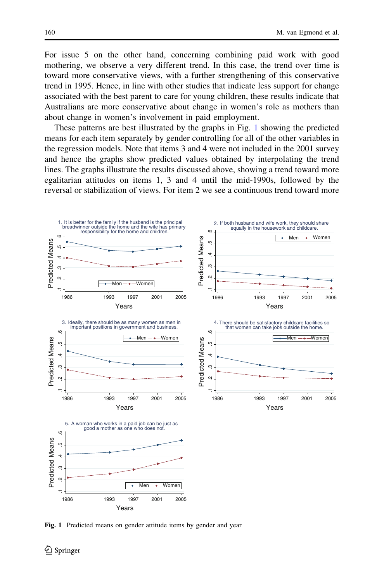For issue 5 on the other hand, concerning combining paid work with good mothering, we observe a very different trend. In this case, the trend over time is toward more conservative views, with a further strengthening of this conservative trend in 1995. Hence, in line with other studies that indicate less support for change associated with the best parent to care for young children, these results indicate that Australians are more conservative about change in women's role as mothers than about change in women's involvement in paid employment.

These patterns are best illustrated by the graphs in Fig. 1 showing the predicted means for each item separately by gender controlling for all of the other variables in the regression models. Note that items 3 and 4 were not included in the 2001 survey and hence the graphs show predicted values obtained by interpolating the trend lines. The graphs illustrate the results discussed above, showing a trend toward more egalitarian attitudes on items 1, 3 and 4 until the mid-1990s, followed by the reversal or stabilization of views. For item 2 we see a continuous trend toward more



Fig. 1 Predicted means on gender attitude items by gender and year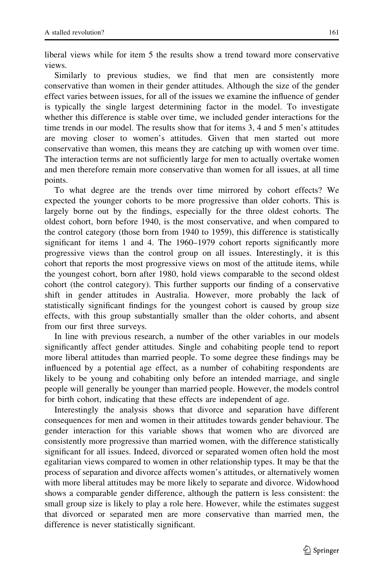liberal views while for item 5 the results show a trend toward more conservative views.

Similarly to previous studies, we find that men are consistently more conservative than women in their gender attitudes. Although the size of the gender effect varies between issues, for all of the issues we examine the influence of gender is typically the single largest determining factor in the model. To investigate whether this difference is stable over time, we included gender interactions for the time trends in our model. The results show that for items 3, 4 and 5 men's attitudes are moving closer to women's attitudes. Given that men started out more conservative than women, this means they are catching up with women over time. The interaction terms are not sufficiently large for men to actually overtake women and men therefore remain more conservative than women for all issues, at all time points.

To what degree are the trends over time mirrored by cohort effects? We expected the younger cohorts to be more progressive than older cohorts. This is largely borne out by the findings, especially for the three oldest cohorts. The oldest cohort, born before 1940, is the most conservative, and when compared to the control category (those born from 1940 to 1959), this difference is statistically significant for items 1 and 4. The 1960–1979 cohort reports significantly more progressive views than the control group on all issues. Interestingly, it is this cohort that reports the most progressive views on most of the attitude items, while the youngest cohort, born after 1980, hold views comparable to the second oldest cohort (the control category). This further supports our finding of a conservative shift in gender attitudes in Australia. However, more probably the lack of statistically significant findings for the youngest cohort is caused by group size effects, with this group substantially smaller than the older cohorts, and absent from our first three surveys.

In line with previous research, a number of the other variables in our models significantly affect gender attitudes. Single and cohabiting people tend to report more liberal attitudes than married people. To some degree these findings may be influenced by a potential age effect, as a number of cohabiting respondents are likely to be young and cohabiting only before an intended marriage, and single people will generally be younger than married people. However, the models control for birth cohort, indicating that these effects are independent of age.

Interestingly the analysis shows that divorce and separation have different consequences for men and women in their attitudes towards gender behaviour. The gender interaction for this variable shows that women who are divorced are consistently more progressive than married women, with the difference statistically significant for all issues. Indeed, divorced or separated women often hold the most egalitarian views compared to women in other relationship types. It may be that the process of separation and divorce affects women's attitudes, or alternatively women with more liberal attitudes may be more likely to separate and divorce. Widowhood shows a comparable gender difference, although the pattern is less consistent: the small group size is likely to play a role here. However, while the estimates suggest that divorced or separated men are more conservative than married men, the difference is never statistically significant.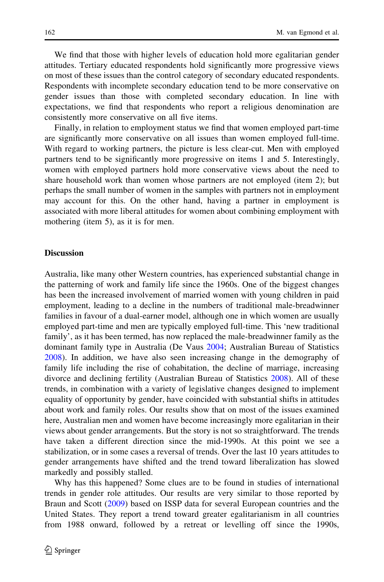We find that those with higher levels of education hold more egalitarian gender attitudes. Tertiary educated respondents hold significantly more progressive views on most of these issues than the control category of secondary educated respondents. Respondents with incomplete secondary education tend to be more conservative on gender issues than those with completed secondary education. In line with expectations, we find that respondents who report a religious denomination are consistently more conservative on all five items.

Finally, in relation to employment status we find that women employed part-time are significantly more conservative on all issues than women employed full-time. With regard to working partners, the picture is less clear-cut. Men with employed partners tend to be significantly more progressive on items 1 and 5. Interestingly, women with employed partners hold more conservative views about the need to share household work than women whose partners are not employed (item 2); but perhaps the small number of women in the samples with partners not in employment may account for this. On the other hand, having a partner in employment is associated with more liberal attitudes for women about combining employment with mothering (item 5), as it is for men.

### **Discussion**

Australia, like many other Western countries, has experienced substantial change in the patterning of work and family life since the 1960s. One of the biggest changes has been the increased involvement of married women with young children in paid employment, leading to a decline in the numbers of traditional male-breadwinner families in favour of a dual-earner model, although one in which women are usually employed part-time and men are typically employed full-time. This 'new traditional family', as it has been termed, has now replaced the male-breadwinner family as the dominant family type in Australia (De Vaus [2004;](#page-21-0) Australian Bureau of Statistics [2008\)](#page-20-0). In addition, we have also seen increasing change in the demography of family life including the rise of cohabitation, the decline of marriage, increasing divorce and declining fertility (Australian Bureau of Statistics [2008](#page-20-0)). All of these trends, in combination with a variety of legislative changes designed to implement equality of opportunity by gender, have coincided with substantial shifts in attitudes about work and family roles. Our results show that on most of the issues examined here, Australian men and women have become increasingly more egalitarian in their views about gender arrangements. But the story is not so straightforward. The trends have taken a different direction since the mid-1990s. At this point we see a stabilization, or in some cases a reversal of trends. Over the last 10 years attitudes to gender arrangements have shifted and the trend toward liberalization has slowed markedly and possibly stalled.

Why has this happened? Some clues are to be found in studies of international trends in gender role attitudes. Our results are very similar to those reported by Braun and Scott [\(2009](#page-20-0)) based on ISSP data for several European countries and the United States. They report a trend toward greater egalitarianism in all countries from 1988 onward, followed by a retreat or levelling off since the 1990s,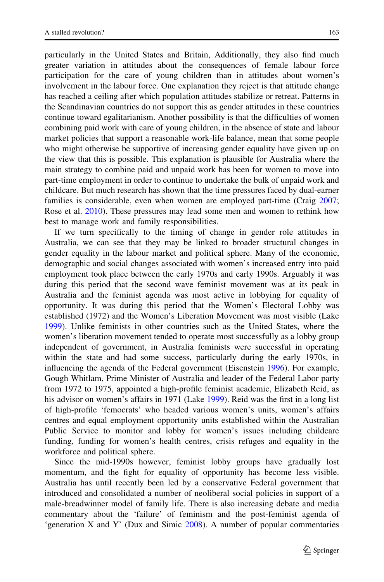particularly in the United States and Britain, Additionally, they also find much greater variation in attitudes about the consequences of female labour force participation for the care of young children than in attitudes about women's involvement in the labour force. One explanation they reject is that attitude change has reached a ceiling after which population attitudes stabilize or retreat. Patterns in the Scandinavian countries do not support this as gender attitudes in these countries continue toward egalitarianism. Another possibility is that the difficulties of women combining paid work with care of young children, in the absence of state and labour market policies that support a reasonable work-life balance, mean that some people who might otherwise be supportive of increasing gender equality have given up on the view that this is possible. This explanation is plausible for Australia where the main strategy to combine paid and unpaid work has been for women to move into part-time employment in order to continue to undertake the bulk of unpaid work and childcare. But much research has shown that the time pressures faced by dual-earner families is considerable, even when women are employed part-time (Craig [2007;](#page-21-0) Rose et al. [2010](#page-21-0)). These pressures may lead some men and women to rethink how best to manage work and family responsibilities.

If we turn specifically to the timing of change in gender role attitudes in Australia, we can see that they may be linked to broader structural changes in gender equality in the labour market and political sphere. Many of the economic, demographic and social changes associated with women's increased entry into paid employment took place between the early 1970s and early 1990s. Arguably it was during this period that the second wave feminist movement was at its peak in Australia and the feminist agenda was most active in lobbying for equality of opportunity. It was during this period that the Women's Electoral Lobby was established (1972) and the Women's Liberation Movement was most visible (Lake [1999\)](#page-21-0). Unlike feminists in other countries such as the United States, where the women's liberation movement tended to operate most successfully as a lobby group independent of government, in Australia feminists were successful in operating within the state and had some success, particularly during the early 1970s, in influencing the agenda of the Federal government (Eisenstein [1996\)](#page-21-0). For example, Gough Whitlam, Prime Minister of Australia and leader of the Federal Labor party from 1972 to 1975, appointed a high-profile feminist academic, Elizabeth Reid, as his advisor on women's affairs in 1971 (Lake [1999\)](#page-21-0). Reid was the first in a long list of high-profile 'femocrats' who headed various women's units, women's affairs centres and equal employment opportunity units established within the Australian Public Service to monitor and lobby for women's issues including childcare funding, funding for women's health centres, crisis refuges and equality in the workforce and political sphere.

Since the mid-1990s however, feminist lobby groups have gradually lost momentum, and the fight for equality of opportunity has become less visible. Australia has until recently been led by a conservative Federal government that introduced and consolidated a number of neoliberal social policies in support of a male-breadwinner model of family life. There is also increasing debate and media commentary about the 'failure' of feminism and the post-feminist agenda of 'generation X and Y' (Dux and Simic [2008\)](#page-21-0). A number of popular commentaries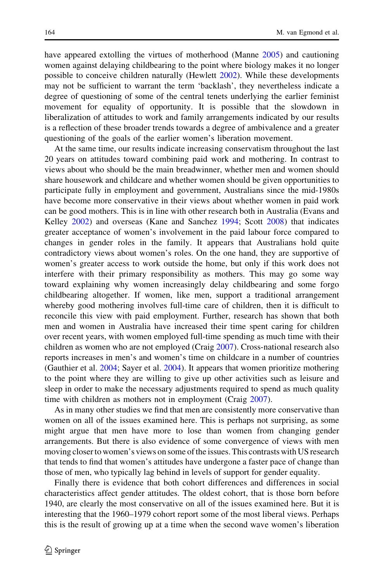have appeared extolling the virtues of motherhood (Manne [2005](#page-21-0)) and cautioning women against delaying childbearing to the point where biology makes it no longer possible to conceive children naturally (Hewlett [2002](#page-21-0)). While these developments may not be sufficient to warrant the term 'backlash', they nevertheless indicate a degree of questioning of some of the central tenets underlying the earlier feminist movement for equality of opportunity. It is possible that the slowdown in liberalization of attitudes to work and family arrangements indicated by our results is a reflection of these broader trends towards a degree of ambivalence and a greater questioning of the goals of the earlier women's liberation movement.

At the same time, our results indicate increasing conservatism throughout the last 20 years on attitudes toward combining paid work and mothering. In contrast to views about who should be the main breadwinner, whether men and women should share housework and childcare and whether women should be given opportunities to participate fully in employment and government, Australians since the mid-1980s have become more conservative in their views about whether women in paid work can be good mothers. This is in line with other research both in Australia (Evans and Kelley [2002](#page-21-0)) and overseas (Kane and Sanchez [1994](#page-21-0); Scott [2008](#page-21-0)) that indicates greater acceptance of women's involvement in the paid labour force compared to changes in gender roles in the family. It appears that Australians hold quite contradictory views about women's roles. On the one hand, they are supportive of women's greater access to work outside the home, but only if this work does not interfere with their primary responsibility as mothers. This may go some way toward explaining why women increasingly delay childbearing and some forgo childbearing altogether. If women, like men, support a traditional arrangement whereby good mothering involves full-time care of children, then it is difficult to reconcile this view with paid employment. Further, research has shown that both men and women in Australia have increased their time spent caring for children over recent years, with women employed full-time spending as much time with their children as women who are not employed (Craig [2007\)](#page-21-0). Cross-national research also reports increases in men's and women's time on childcare in a number of countries (Gauthier et al. [2004](#page-21-0); Sayer et al. [2004](#page-21-0)). It appears that women prioritize mothering to the point where they are willing to give up other activities such as leisure and sleep in order to make the necessary adjustments required to spend as much quality time with children as mothers not in employment (Craig [2007](#page-21-0)).

As in many other studies we find that men are consistently more conservative than women on all of the issues examined here. This is perhaps not surprising, as some might argue that men have more to lose than women from changing gender arrangements. But there is also evidence of some convergence of views with men moving closer to women's views on some of the issues. This contrasts with US research that tends to find that women's attitudes have undergone a faster pace of change than those of men, who typically lag behind in levels of support for gender equality.

Finally there is evidence that both cohort differences and differences in social characteristics affect gender attitudes. The oldest cohort, that is those born before 1940, are clearly the most conservative on all of the issues examined here. But it is interesting that the 1960–1979 cohort report some of the most liberal views. Perhaps this is the result of growing up at a time when the second wave women's liberation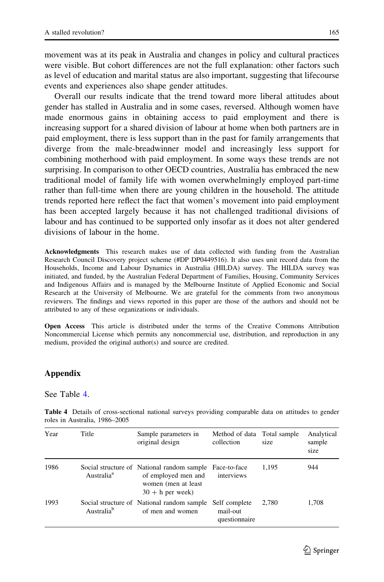<span id="page-19-0"></span>movement was at its peak in Australia and changes in policy and cultural practices were visible. But cohort differences are not the full explanation: other factors such as level of education and marital status are also important, suggesting that lifecourse events and experiences also shape gender attitudes.

Overall our results indicate that the trend toward more liberal attitudes about gender has stalled in Australia and in some cases, reversed. Although women have made enormous gains in obtaining access to paid employment and there is increasing support for a shared division of labour at home when both partners are in paid employment, there is less support than in the past for family arrangements that diverge from the male-breadwinner model and increasingly less support for combining motherhood with paid employment. In some ways these trends are not surprising. In comparison to other OECD countries, Australia has embraced the new traditional model of family life with women overwhelmingly employed part-time rather than full-time when there are young children in the household. The attitude trends reported here reflect the fact that women's movement into paid employment has been accepted largely because it has not challenged traditional divisions of labour and has continued to be supported only insofar as it does not alter gendered divisions of labour in the home.

Acknowledgments This research makes use of data collected with funding from the Australian Research Council Discovery project scheme (#DP DP0449516). It also uses unit record data from the Households, Income and Labour Dynamics in Australia (HILDA) survey. The HILDA survey was initiated, and funded, by the Australian Federal Department of Families, Housing, Community Services and Indigenous Affairs and is managed by the Melbourne Institute of Applied Economic and Social Research at the University of Melbourne. We are grateful for the comments from two anonymous reviewers. The findings and views reported in this paper are those of the authors and should not be attributed to any of these organizations or individuals.

Open Access This article is distributed under the terms of the Creative Commons Attribution Noncommercial License which permits any noncommercial use, distribution, and reproduction in any medium, provided the original author(s) and source are credited.

#### Appendix

See Table 4.

| Year | Title                  | Sample parameters in<br>original design                                                                                      | Method of data Total sample<br>collection  | size  | Analytical<br>sample<br>size |
|------|------------------------|------------------------------------------------------------------------------------------------------------------------------|--------------------------------------------|-------|------------------------------|
| 1986 | Australia <sup>a</sup> | Social structure of National random sample Face-to-face<br>of employed men and<br>women (men at least)<br>$30 + h$ per week) | interviews                                 | 1.195 | 944                          |
| 1993 | Australia <sup>b</sup> | Social structure of National random sample<br>of men and women                                                               | Self complete<br>mail-out<br>questionnaire | 2.780 | 1,708                        |

Table 4 Details of cross-sectional national surveys providing comparable data on attitudes to gender roles in Australia, 1986–2005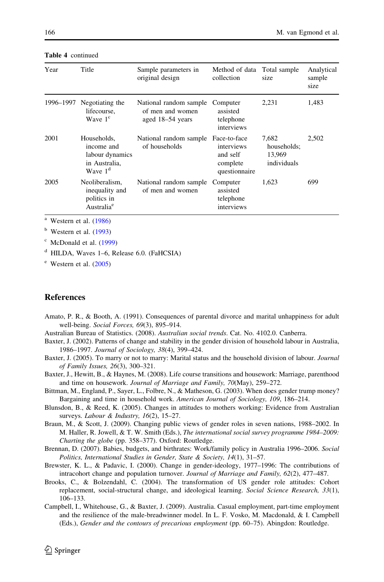| Year      | Title                                                                                | Sample parameters in<br>original design                        | Method of data Total sample<br>collection                           | size                                          | Analytical<br>sample<br>size |
|-----------|--------------------------------------------------------------------------------------|----------------------------------------------------------------|---------------------------------------------------------------------|-----------------------------------------------|------------------------------|
| 1996–1997 | Negotiating the<br>lifecourse.<br>Wave 1 <sup>c</sup>                                | National random sample<br>of men and women<br>aged 18-54 years | Computer<br>assisted<br>telephone<br>interviews                     | 2,231                                         | 1,483                        |
| 2001      | Households,<br>income and<br>labour dynamics<br>in Australia,<br>Wave 1 <sup>d</sup> | National random sample<br>of households                        | Face-to-face<br>interviews<br>and self<br>complete<br>questionnaire | 7.682<br>households;<br>13.969<br>individuals | 2,502                        |
| 2005      | Neoliberalism.<br>inequality and<br>politics in<br>Australia <sup>e</sup>            | National random sample<br>of men and women                     | Computer<br>assisted<br>telephone<br>interviews                     | 1.623                                         | 699                          |

#### <span id="page-20-0"></span>Table 4 continued

 $a$  Western et al.  $(1986)$  $(1986)$ 

 $<sup>b</sup>$  Western et al. ([1993\)](#page-22-0)</sup>

<sup>c</sup> McDonald et al. ([1999\)](#page-21-0)

<sup>d</sup> HILDA, Waves 1–6, Release 6.0. (FaHCSIA)

 $e$  Western et al.  $(2005)$  $(2005)$ 

## References

- Amato, P. R., & Booth, A. (1991). Consequences of parental divorce and marital unhappiness for adult well-being. Social Forces, 69(3), 895–914.
- Australian Bureau of Statistics. (2008). Australian social trends. Cat. No. 4102.0. Canberra.
- Baxter, J. (2002). Patterns of change and stability in the gender division of household labour in Australia, 1986–1997. Journal of Sociology, 38(4), 399–424.
- Baxter, J. (2005). To marry or not to marry: Marital status and the household division of labour. *Journal* of Family Issues, 26(3), 300–321.
- Baxter, J., Hewitt, B., & Haynes, M. (2008). Life course transitions and housework: Marriage, parenthood and time on housework. Journal of Marriage and Family, 70(May), 259–272.
- Bittman, M., England, P., Sayer, L., Folbre, N., & Matheson, G. (2003). When does gender trump money? Bargaining and time in household work. American Journal of Sociology, 109, 186–214.
- Blunsdon, B., & Reed, K. (2005). Changes in attitudes to mothers working: Evidence from Australian surveys. Labour & Industry, 16(2), 15-27.
- Braun, M., & Scott, J. (2009). Changing public views of gender roles in seven nations, 1988–2002. In M. Haller, R. Jowell, & T. W. Smith (Eds.), The international social survey programme 1984–2009: Charting the globe (pp. 358–377). Oxford: Routledge.
- Brennan, D. (2007). Babies, budgets, and birthrates: Work/family policy in Australia 1996–2006. Social Politics, International Studies in Gender, State & Society, 14(1), 31–57.
- Brewster, K. L., & Padavic, I. (2000). Change in gender-ideology, 1977–1996: The contributions of intracohort change and population turnover. Journal of Marriage and Family, 62(2), 477–487.
- Brooks, C., & Bolzendahl, C. (2004). The transformation of US gender role attitudes: Cohort replacement, social-structural change, and ideological learning. Social Science Research, 33(1), 106–133.
- Campbell, I., Whitehouse, G., & Baxter, J. (2009). Australia. Casual employment, part-time employment and the resilience of the male-breadwinner model. In L. F. Vosko, M. Macdonald, & I. Campbell (Eds.), Gender and the contours of precarious employment (pp. 60–75). Abingdon: Routledge.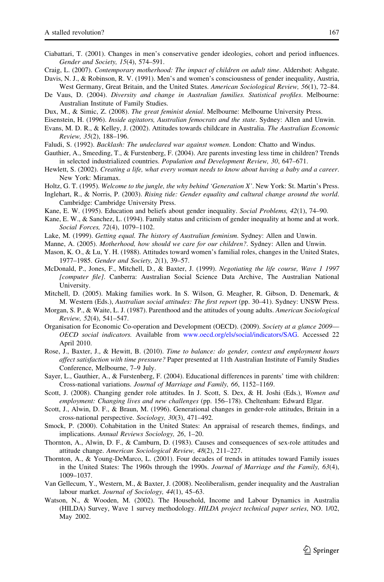- <span id="page-21-0"></span>Ciabattari, T. (2001). Changes in men's conservative gender ideologies, cohort and period influences. Gender and Society, 15(4), 574–591.
- Craig, L. (2007). Contemporary motherhood: The impact of children on adult time. Aldershot: Ashgate. Davis, N. J., & Robinson, R. V. (1991). Men's and women's consciousness of gender inequality, Austria,
- West Germany, Great Britain, and the United States. American Sociological Review, 56(1), 72–84.
- De Vaus, D. (2004). Diversity and change in Australian families. Statistical profiles. Melbourne: Australian Institute of Family Studies.
- Dux, M., & Simic, Z. (2008). The great feminist denial. Melbourne: Melbourne University Press.
- Eisenstein, H. (1996). Inside agitators, Australian femocrats and the state. Sydney: Allen and Unwin.
- Evans, M. D. R., & Kelley, J. (2002). Attitudes towards childcare in Australia. The Australian Economic Review, 35(2), 188–196.
- Faludi, S. (1992). Backlash: The undeclared war against women. London: Chatto and Windus.
- Gauthier, A., Smeeding, T., & Furstenberg, F. (2004). Are parents investing less time in children? Trends in selected industrialized countries. Population and Development Review, 30, 647–671.
- Hewlett, S. (2002). Creating a life, what every woman needs to know about having a baby and a career. New York: Miramax.
- Holtz, G. T. (1995). Welcome to the jungle, the why behind 'Generation X'. New York: St. Martin's Press.
- Inglehart, R., & Norris, P. (2003). Rising tide: Gender equality and cultural change around the world. Cambridge: Cambridge University Press.
- Kane, E. W. (1995). Education and beliefs about gender inequality. Social Problems, 42(1), 74–90.
- Kane, E. W., & Sanchez, L. (1994). Family status and criticism of gender inequality at home and at work. Social Forces, 72(4), 1079–1102.
- Lake, M. (1999). Getting equal. The history of Australian feminism. Sydney: Allen and Unwin.
- Manne, A. (2005). *Motherhood, how should we care for our children?*. Sydney: Allen and Unwin.
- Mason, K. O., & Lu, Y. H. (1988). Attitudes toward women's familial roles, changes in the United States, 1977–1985. Gender and Society, 2(1), 39–57.
- McDonald, P., Jones, F., Mitchell, D., & Baxter, J. (1999). Negotiating the life course, Wave 1 1997 [computer file]. Canberra: Australian Social Science Data Archive, The Australian National University.
- Mitchell, D. (2005). Making families work. In S. Wilson, G. Meagher, R. Gibson, D. Denemark, & M. Western (Eds.), Australian social attitudes: The first report (pp. 30–41). Sydney: UNSW Press.
- Morgan, S. P., & Waite, L. J. (1987). Parenthood and the attitudes of young adults. American Sociological Review, 52(4), 541–547.
- Organisation for Economic Co-operation and Development (OECD). (2009). Society at a glance 2009— OECD social indicators. Available from [www.oecd.org/els/social/indicators/SAG](http://www.oecd.org/els/social/indicators/SAG). Accessed 22 April 2010.
- Rose, J., Baxter, J., & Hewitt, B. (2010). Time to balance: do gender, context and employment hours affect satisfaction with time pressure? Paper presented at 11th Australian Institute of Family Studies Conference, Melbourne, 7–9 July.
- Sayer, L., Gauthier, A., & Furstenberg, F. (2004). Educational differences in parents' time with children: Cross-national variations. Journal of Marriage and Family, 66, 1152–1169.
- Scott, J. (2008). Changing gender role attitudes. In J. Scott, S. Dex, & H. Joshi (Eds.), Women and employment: Changing lives and new challenges (pp. 156–178). Cheltenham: Edward Elgar.
- Scott, J., Alwin, D. F., & Braun, M. (1996). Generational changes in gender-role attitudes, Britain in a cross-national perspective. Sociology, 30(3), 471–492.
- Smock, P. (2000). Cohabitation in the United States: An appraisal of research themes, findings, and implications. Annual Reviews Sociology, 26, 1–20.
- Thornton, A., Alwin, D. F., & Camburn, D. (1983). Causes and consequences of sex-role attitudes and attitude change. American Sociological Review, 48(2), 211–227.
- Thornton, A., & Young-DeMarco, L. (2001). Four decades of trends in attitudes toward Family issues in the United States: The 1960s through the 1990s. Journal of Marriage and the Family, 63(4), 1009–1037.
- Van Gellecum, Y., Western, M., & Baxter, J. (2008). Neoliberalism, gender inequality and the Australian labour market. Journal of Sociology, 44(1), 45–63.
- Watson, N., & Wooden, M. (2002). The Household, Income and Labour Dynamics in Australia (HILDA) Survey, Wave 1 survey methodology. HILDA project technical paper series, NO. 1/02, May 2002.